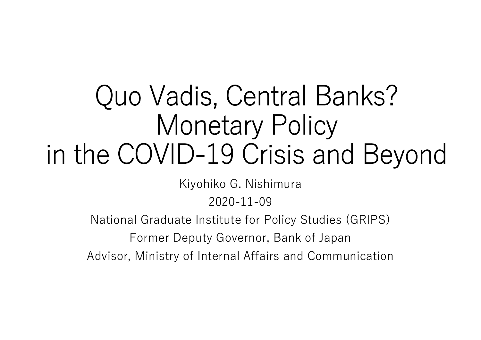# Quo Vadis, Central Banks? Monetary Policy in the COVID-19 Crisis and Beyond

Kiyohiko G. Nishimura

2020-11-09

National Graduate Institute for Policy Studies (GRIPS)

Former Deputy Governor, Bank of Japan

Advisor, Ministry of Internal Affairs and Communication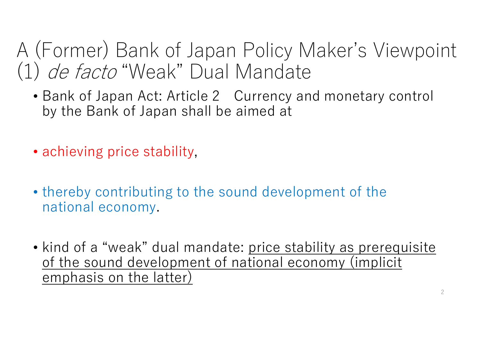## A (Former) Bank of Japan Policy Maker's Viewpoint (1) de facto "Weak" Dual Mandate

- Bank of Japan Act: Article 2 Currency and monetary control by the Bank of Japan shall be aimed at
- achieving price stability.
- thereby contributing to the sound development of the national economy.
- kind of a "weak" dual mandate: <u>price stability as prerequisite</u> of the sound development of national economy (implicit emphasis on the latter)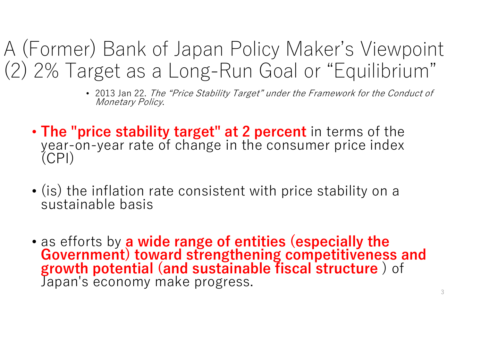A (Former) Bank of Japan Policy Maker's Viewpoint (2) 2% Target as a Long-Run Goal or "Equilibrium"

- 2013 Jan 22. The "Price Stability Target" under the Framework for the Conduct of Monetary Policy.
- The "price stability target" at 2 percent in terms of the year-on-year rate of change in the consumer price index (CPI)
- (is) the inflation rate consistent with price stability on a sustainable basis
- as efforts by a wide range of entities (especially the<br>Government) toward strengthening competitiveness and<br>growth potential (and sustainable fiscal structure) of Japan's economy make progress.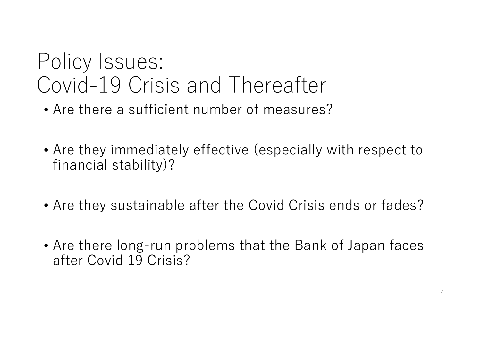## Policy Issues: Covid-19 Crisis and Thereafter

- Are there a sufficient number of measures?
- Are they immediately effective (especially with respect to financial stability)?
- Are they sustainable after the Covid Crisis ends or fades?
- Are there long-run problems that the Bank of Japan faces after Covid 19 Crisis?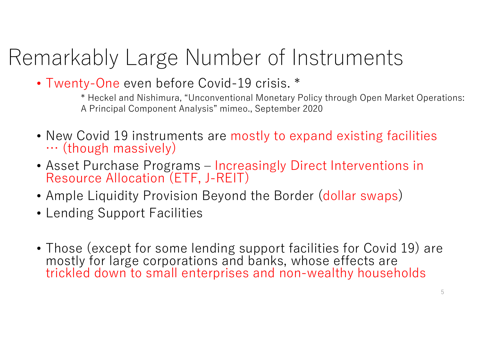# Remarkably Large Number of Instruments

• Twenty-One even before Covid-19 crisis. \*

\* Heckel and Nishimura, "Unconventional Monetary Policy through Open Market Operations: A Principal Component Analysis" mimeo., September 2020

- New Covid 19 instruments are mostly to expand existing facilities  $\cdots$  (though massively)
- Asset Purchase Programs Increasingly Direct Interventions in Resource Allocation (ETF, J-REIT)
- Ample Liquidity Provision Beyond the Border (dollar swaps)
- Lending Support Facilities
- Those (except for some lending support facilities for Covid 19) are mostly for large corporations and banks, whose effects are trickled down to small enterprises and non-wealthy households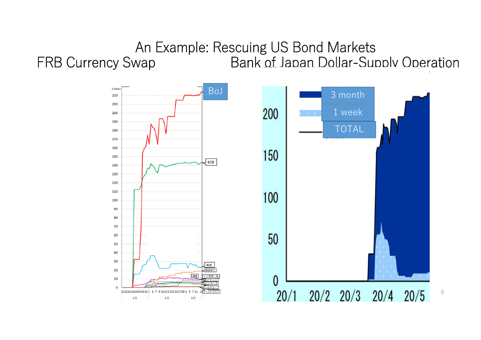### An Example: Rescuing US Bond Markets FRB Currency Swap Bank of Japan Dollar-Supply Operation

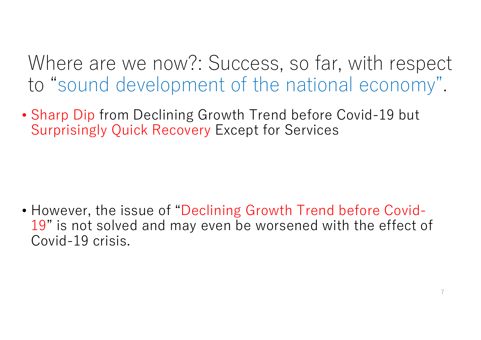Where are we now?: Success, so far, with respect to "sound development of the national economy".

• Sharp Dip from Declining Growth Trend before Covid-19 but Surprisingly Quick Recovery Except for Services

• However, the issue of "Declining Growth Trend before Covid-19" is not solved and may even be worsened with the effect of Covid-19 crisis.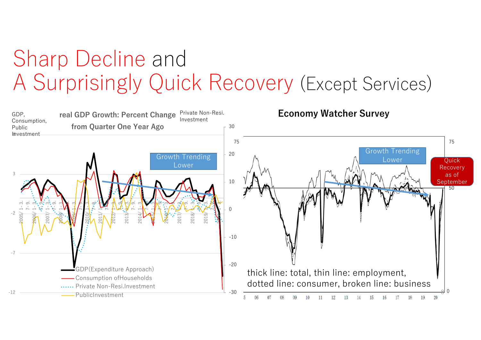## Sharp Decline and A Surprisingly Quick Recovery (Except Services)

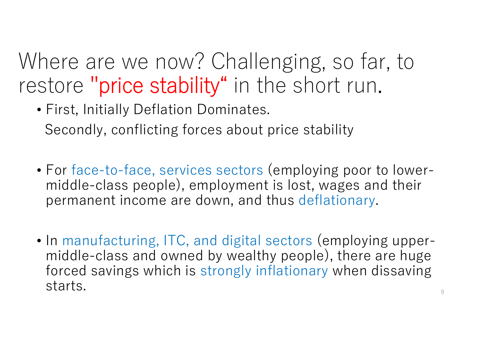Where are we now? Challenging, so far, to restore "price stability" in the short run.

- First, Initially Deflation Dominates. Secondly, conflicting forces about price stability
- For face-to-face, services sectors (employing poor to lowermiddle-class people), employment is lost, wages and their permanent income are down, and thus deflationary.
- In manufacturing, ITC, and digital sectors (employing uppermiddle-class and owned by wealthy people), there are huge forced savings which is strongly inflationary when dissaving starts.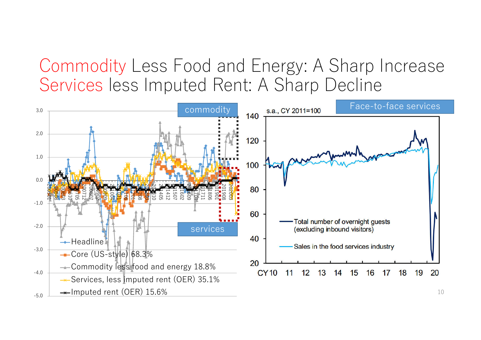### Commodity Less Food and Energy: A Sharp Increase Services less Imputed Rent: A Sharp Decline

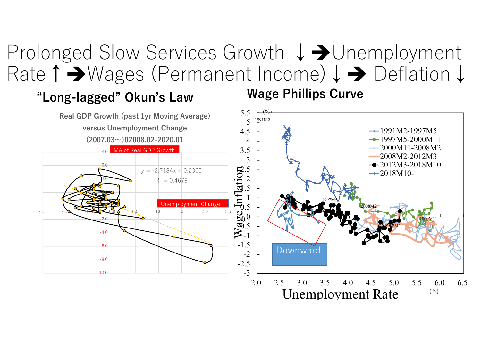### Prolonged Slow Services Growth ↓→Unemployment Rate↑Wages (Permanent Income)↓ Deflation↓

### "Long-lagged" Okun's Law Wage Phillips Curve



Unemployment Rate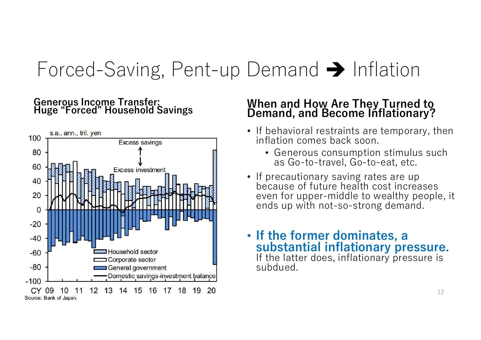## Forced-Saving, Pent-up Demand  $\rightarrow$  Inflation

### Generous Income Transfer:<br>Huge "Forced" Household Savings



## Huge "Forced" Household Savings When and How Are They Turned to Demand, and Become Inflationary?

- If behavioral restraints are temporary, then inflation comes back soon.
	- Generous consumption stimulus such as Go-to-travel, Go-to-eat, etc.
- If precautionary saving rates are up because of future health cost increases even for upper-middle to wealthy people, it ends up with not-so-strong demand.

#### • If the former dominates, a substantial inflationary pressure. If the latter does, inflationary pressure is subdued.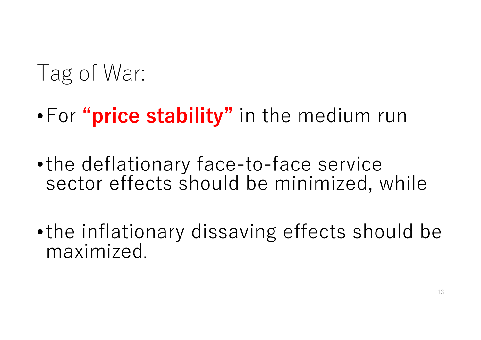# I ag of War:

- •For "price stability" in the medium run
- •the deflationary face-to-face service sector effects should be minimized, while
- •the inflationary dissaving effects should be maximized.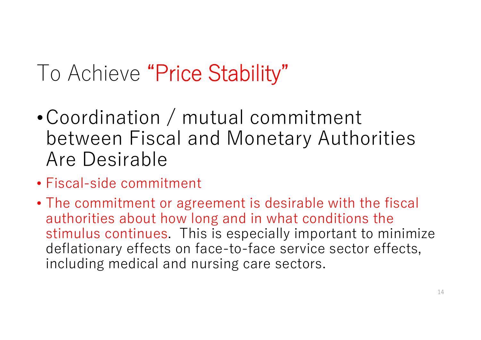# To Achieve "Price Stability"

- •Coordination / mutual commitment between Fiscal and Monetary Authorities Are Desirable
- Fiscal-side commitment
- The commitment or agreement is desirable with the fiscal authorities about how long and in what conditions the stimulus continues. This is especially important to minimize deflationary effects on face-to-face service sector effects, including medical and nursing care sectors.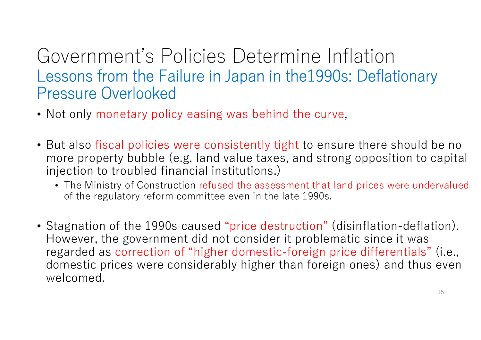### Government's Policies Determine Inflation Lessons from the Failure in Japan in the1990s: Deflationary Pressure Overlooked

- Not only monetary policy easing was behind the curve,
- But also fiscal policies were consistently tight to ensure there should be no more property bubble (e.g. land value taxes, and strong opposition to capital injection to troubled financial institutions.)
	- The Ministry of Construction refused the assessment that land prices were undervalued of the regulatory reform committee even in the late 1990s.
- Stagnation of the 1990s caused "price destruction" (disinflation-deflation). However, the government did not consider it problematic since it was regarded as correction of "higher domestic-foreign price differentials" (i.e., domestic prices were considerably higher than foreign ones) and thus even welcomed.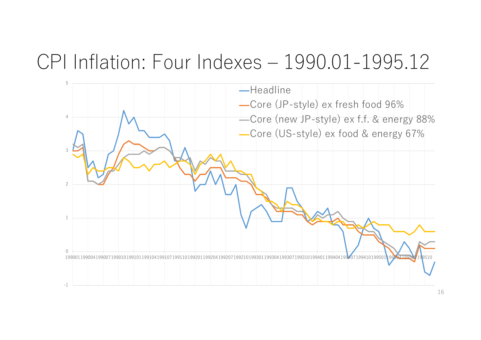### CPI Inflation: Four Indexes – 1990.01-1995.12

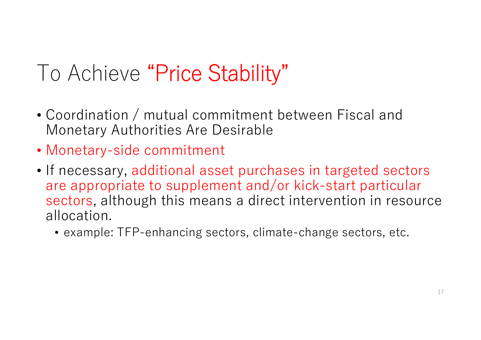# To Achieve "Price Stability"

- Coordination / mutual commitment between Fiscal and Monetary Authorities Are Desirable
- Monetary-side commitment
- If necessary, additional asset purchases in targeted sectors are appropriate to supplement and/or kick-start particular sectors, although this means a direct intervention in resource allocation.
	- example: TFP-enhancing sectors, climate-change sectors, etc.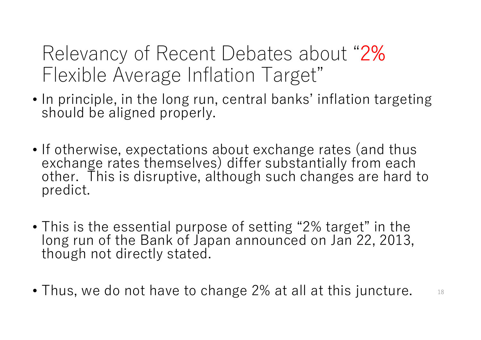### Relevancy of Recent Debates about "2% Flexible Average Inflation Target"

- In principle, in the long run, central banks' inflation targeting should be aligned properly.
- If otherwise, expectations about exchange rates (and thus exchange rates themselves) differ substantially from each other. This is disruptive, although such changes are hard to predict.
- This is the essential purpose of setting "2% target" in the long run of the Bank of Japan announced on Jan 22, 2013, though not directly stated.
- Thus, we do not have to change 2% at all at this juncture.  $\qquad$   $\frac{18}{3}$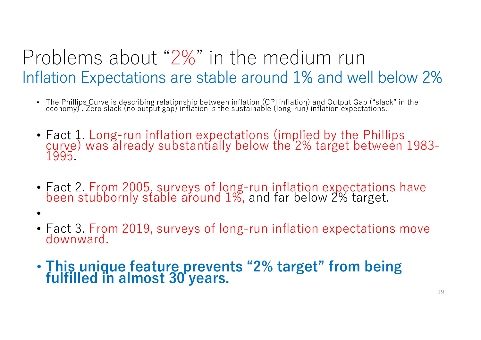### Problems about "2%" in the medium run Inflation Expectations are stable around 1% and well below 2%

- The Phillips Curve is describing relationship between inflation (CPI inflation) and Output Gap ("slack" in the<br>economy) . Zero slack (no output gap) inflation is the sustainable (long-run) inflation expectations.
- Fact 1. Long-run inflation expectations (implied by the Phillips curve) was already substantially below the 2% target between 1983- 1995.
- Fact 2. From 2005, surveys of long-run inflation expectations have been stubbornly stable around 1%, and far below 2% target.
- •
- Fact 3. From 2019, surveys of long-run inflation expectations move downward.
- This unique feature prevents "2% target" from being fulfilled in almost 30 years.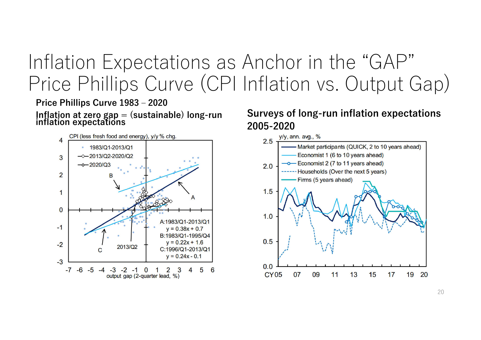### Inflation Expectations as Anchor in the "GAP" Price Phillips Curve (CPI Inflation vs. Output Gap)

Price Phillips Curve 1983 – 2020



Inflation at zero gap = (sustainable) long-run inflation expectations Surveys of long-run inflation expectations 2005-2020



20